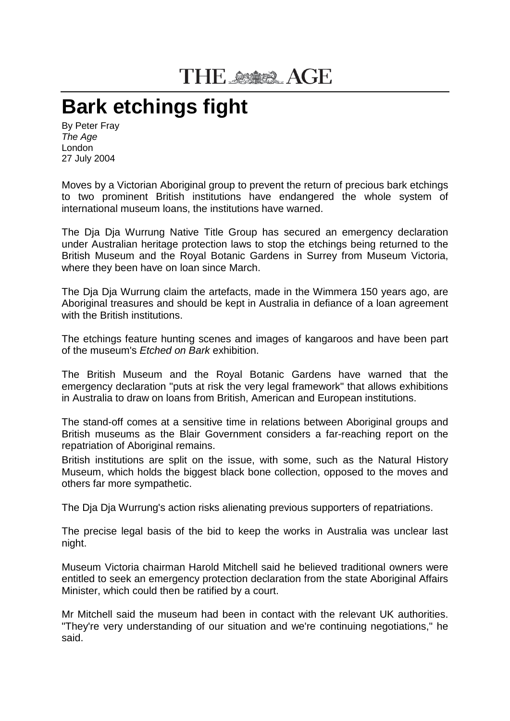## THE SSASS AGE

## **Bark etchings fight**

By Peter Fray *The Age* London 27 July 2004

Moves by a Victorian Aboriginal group to prevent the return of precious bark etchings to two prominent British institutions have endangered the whole system of international museum loans, the institutions have warned.

The Dja Dja Wurrung Native Title Group has secured an emergency declaration under Australian heritage protection laws to stop the etchings being returned to the British Museum and the Royal Botanic Gardens in Surrey from Museum Victoria, where they been have on loan since March.

The Dja Dja Wurrung claim the artefacts, made in the Wimmera 150 years ago, are Aboriginal treasures and should be kept in Australia in defiance of a loan agreement with the British institutions.

The etchings feature hunting scenes and images of kangaroos and have been part of the museum's *Etched on Bark* exhibition.

The British Museum and the Royal Botanic Gardens have warned that the emergency declaration "puts at risk the very legal framework" that allows exhibitions in Australia to draw on loans from British, American and European institutions.

The stand-off comes at a sensitive time in relations between Aboriginal groups and British museums as the Blair Government considers a far-reaching report on the repatriation of Aboriginal remains.

British institutions are split on the issue, with some, such as the Natural History Museum, which holds the biggest black bone collection, opposed to the moves and others far more sympathetic.

The Dja Dja Wurrung's action risks alienating previous supporters of repatriations.

The precise legal basis of the bid to keep the works in Australia was unclear last night.

Museum Victoria chairman Harold Mitchell said he believed traditional owners were entitled to seek an emergency protection declaration from the state Aboriginal Affairs Minister, which could then be ratified by a court.

Mr Mitchell said the museum had been in contact with the relevant UK authorities. "They're very understanding of our situation and we're continuing negotiations," he said.